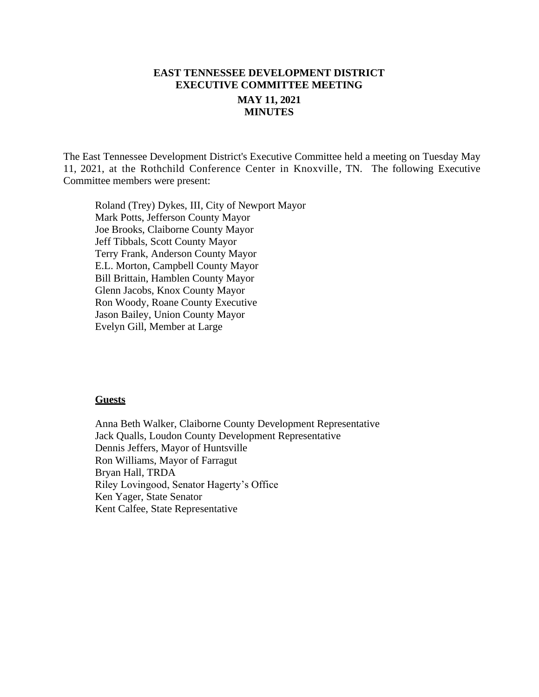# **EAST TENNESSEE DEVELOPMENT DISTRICT EXECUTIVE COMMITTEE MEETING MAY 11, 2021 MINUTES**

The East Tennessee Development District's Executive Committee held a meeting on Tuesday May 11, 2021, at the Rothchild Conference Center in Knoxville, TN. The following Executive Committee members were present:

Roland (Trey) Dykes, III, City of Newport Mayor Mark Potts, Jefferson County Mayor Joe Brooks, Claiborne County Mayor Jeff Tibbals, Scott County Mayor Terry Frank, Anderson County Mayor E.L. Morton, Campbell County Mayor Bill Brittain, Hamblen County Mayor Glenn Jacobs, Knox County Mayor Ron Woody, Roane County Executive Jason Bailey, Union County Mayor Evelyn Gill, Member at Large

#### **Guests**

Anna Beth Walker, Claiborne County Development Representative Jack Qualls, Loudon County Development Representative Dennis Jeffers, Mayor of Huntsville Ron Williams, Mayor of Farragut Bryan Hall, TRDA Riley Lovingood, Senator Hagerty's Office Ken Yager, State Senator Kent Calfee, State Representative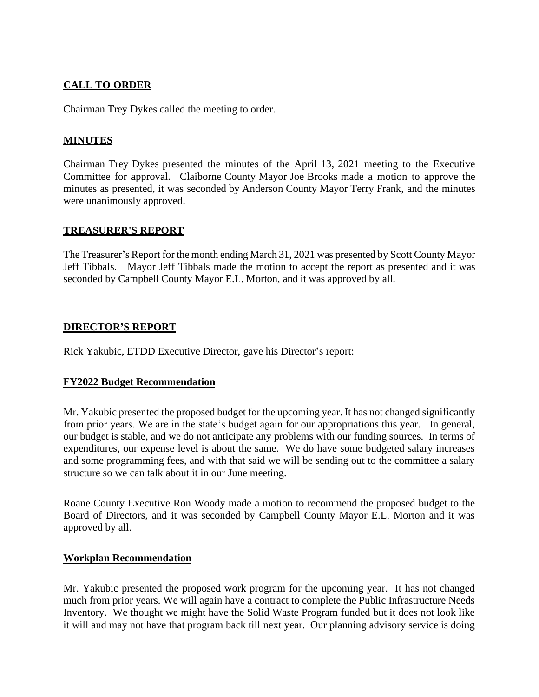# **CALL TO ORDER**

Chairman Trey Dykes called the meeting to order.

## **MINUTES**

Chairman Trey Dykes presented the minutes of the April 13, 2021 meeting to the Executive Committee for approval. Claiborne County Mayor Joe Brooks made a motion to approve the minutes as presented, it was seconded by Anderson County Mayor Terry Frank, and the minutes were unanimously approved.

#### **TREASURER'S REPORT**

The Treasurer's Report for the month ending March 31, 2021 was presented by Scott County Mayor Jeff Tibbals. Mayor Jeff Tibbals made the motion to accept the report as presented and it was seconded by Campbell County Mayor E.L. Morton, and it was approved by all.

### **DIRECTOR'S REPORT**

Rick Yakubic, ETDD Executive Director, gave his Director's report:

#### **FY2022 Budget Recommendation**

Mr. Yakubic presented the proposed budget for the upcoming year. It has not changed significantly from prior years. We are in the state's budget again for our appropriations this year. In general, our budget is stable, and we do not anticipate any problems with our funding sources. In terms of expenditures, our expense level is about the same. We do have some budgeted salary increases and some programming fees, and with that said we will be sending out to the committee a salary structure so we can talk about it in our June meeting.

Roane County Executive Ron Woody made a motion to recommend the proposed budget to the Board of Directors, and it was seconded by Campbell County Mayor E.L. Morton and it was approved by all.

#### **Workplan Recommendation**

Mr. Yakubic presented the proposed work program for the upcoming year. It has not changed much from prior years. We will again have a contract to complete the Public Infrastructure Needs Inventory. We thought we might have the Solid Waste Program funded but it does not look like it will and may not have that program back till next year. Our planning advisory service is doing